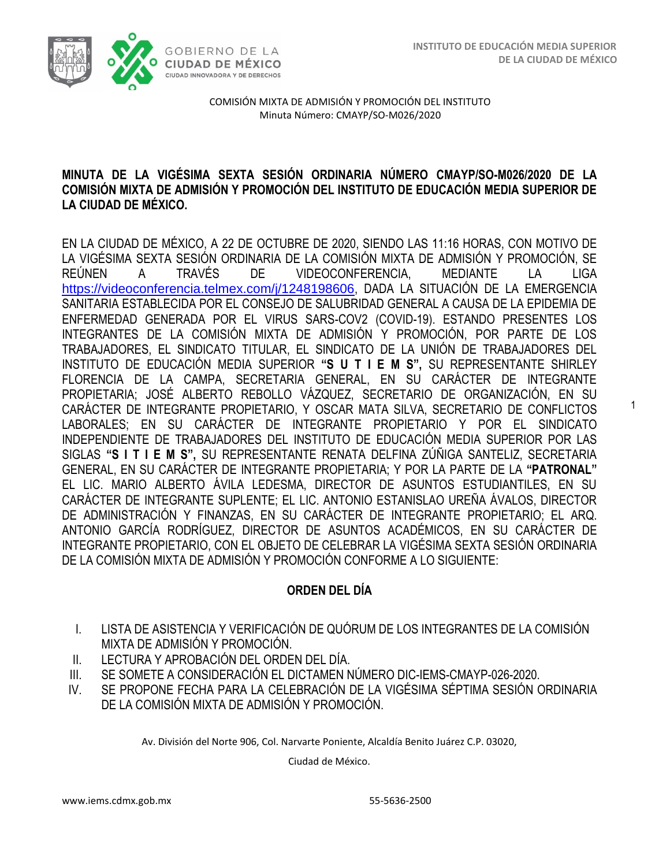1



COMISIÓN MIXTA DE ADMISIÓN Y PROMOCIÓN DEL INSTITUTO Minuta Número: CMAYP/SO-M026/2020

#### **MINUTA DE LA VIGÉSIMA SEXTA SESIÓN ORDINARIA NÚMERO CMAYP/SO-M026/2020 DE LA COMISIÓN MIXTA DE ADMISIÓN Y PROMOCIÓN DEL INSTITUTO DE EDUCACIÓN MEDIA SUPERIOR DE LA CIUDAD DE MÉXICO.**

EN LA CIUDAD DE MÉXICO, A 22 DE OCTUBRE DE 2020, SIENDO LAS 11:16 HORAS, CON MOTIVO DE LA VIGÉSIMA SEXTA SESIÓN ORDINARIA DE LA COMISIÓN MIXTA DE ADMISIÓN Y PROMOCIÓN, SE REÚNEN A TRAVÉS DE VIDEOCONFERENCIA, MEDIANTE LA LIGA <https://videoconferencia.telmex.com/j/1248198606>, DADA LA SITUACIÓN DE LA EMERGENCIA SANITARIA ESTABLECIDA POR EL CONSEJO DE SALUBRIDAD GENERAL A CAUSA DE LA EPIDEMIA DE ENFERMEDAD GENERADA POR EL VIRUS SARS-COV2 (COVID-19). ESTANDO PRESENTES LOS INTEGRANTES DE LA COMISIÓN MIXTA DE ADMISIÓN Y PROMOCIÓN, POR PARTE DE LOS TRABAJADORES, EL SINDICATO TITULAR, EL SINDICATO DE LA UNIÓN DE TRABAJADORES DEL INSTITUTO DE EDUCACIÓN MEDIA SUPERIOR **"S U T I E M S",** SU REPRESENTANTE SHIRLEY FLORENCIA DE LA CAMPA, SECRETARIA GENERAL, EN SU CARÁCTER DE INTEGRANTE PROPIETARIA; JOSÉ ALBERTO REBOLLO VÁZQUEZ, SECRETARIO DE ORGANIZACIÓN, EN SU CARÁCTER DE INTEGRANTE PROPIETARIO, Y OSCAR MATA SILVA, SECRETARIO DE CONFLICTOS LABORALES; EN SU CARÁCTER DE INTEGRANTE PROPIETARIO Y POR EL SINDICATO INDEPENDIENTE DE TRABAJADORES DEL INSTITUTO DE EDUCACIÓN MEDIA SUPERIOR POR LAS SIGLAS **"S I T I E M S",** SU REPRESENTANTE RENATA DELFINA ZÚÑIGA SANTELIZ, SECRETARIA GENERAL, EN SU CARÁCTER DE INTEGRANTE PROPIETARIA; Y POR LA PARTE DE LA **"PATRONAL"**  EL LIC. MARIO ALBERTO ÁVILA LEDESMA, DIRECTOR DE ASUNTOS ESTUDIANTILES, EN SU CARÁCTER DE INTEGRANTE SUPLENTE; EL LIC. ANTONIO ESTANISLAO UREÑA ÁVALOS, DIRECTOR DE ADMINISTRACIÓN Y FINANZAS, EN SU CARÁCTER DE INTEGRANTE PROPIETARIO; EL ARQ. ANTONIO GARCÍA RODRÍGUEZ, DIRECTOR DE ASUNTOS ACADÉMICOS, EN SU CARÁCTER DE INTEGRANTE PROPIETARIO, CON EL OBJETO DE CELEBRAR LA VIGÉSIMA SEXTA SESIÓN ORDINARIA DE LA COMISIÓN MIXTA DE ADMISIÓN Y PROMOCIÓN CONFORME A LO SIGUIENTE:

## **ORDEN DEL DÍA**

- I. LISTA DE ASISTENCIA Y VERIFICACIÓN DE QUÓRUM DE LOS INTEGRANTES DE LA COMISIÓN MIXTA DE ADMISIÓN Y PROMOCIÓN.
- II. LECTURA Y APROBACIÓN DEL ORDEN DEL DÍA.
- III. SE SOMETE A CONSIDERACIÓN EL DICTAMEN NÚMERO DIC-IEMS-CMAYP-026-2020.
- IV. SE PROPONE FECHA PARA LA CELEBRACIÓN DE LA VIGÉSIMA SÉPTIMA SESIÓN ORDINARIA DE LA COMISIÓN MIXTA DE ADMISIÓN Y PROMOCIÓN.

Av. División del Norte 906, Col. Narvarte Poniente, Alcaldía Benito Juárez C.P. 03020,

Ciudad de México.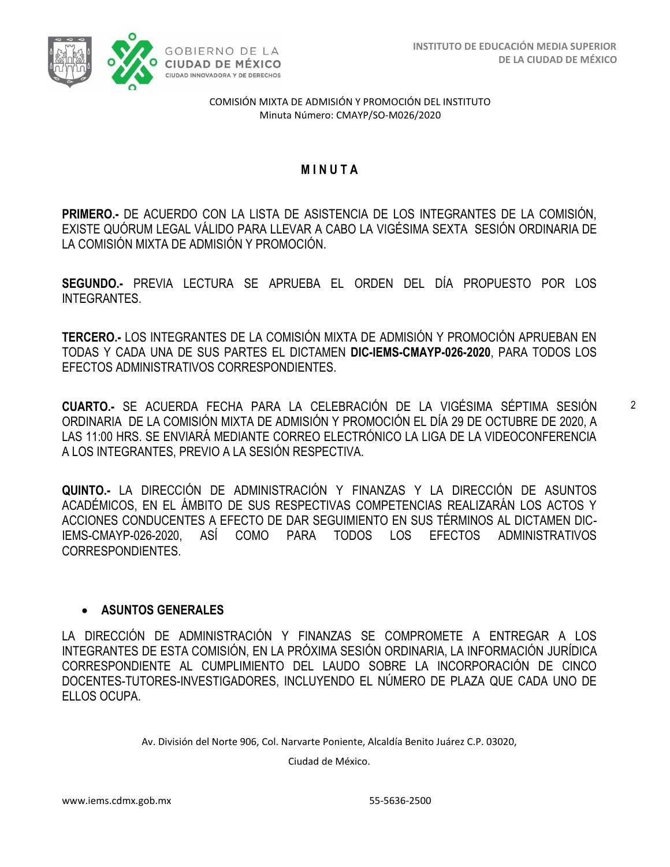

#### **M I N U T A**

**PRIMERO.-** DE ACUERDO CON LA LISTA DE ASISTENCIA DE LOS INTEGRANTES DE LA COMISIÓN, EXISTE QUÓRUM LEGAL VÁLIDO PARA LLEVAR A CABO LA VIGÉSIMA SEXTA SESIÓN ORDINARIA DE LA COMISIÓN MIXTA DE ADMISIÓN Y PROMOCIÓN.

**SEGUNDO.-** PREVIA LECTURA SE APRUEBA EL ORDEN DEL DÍA PROPUESTO POR LOS INTEGRANTES.

**TERCERO.-** LOS INTEGRANTES DE LA COMISIÓN MIXTA DE ADMISIÓN Y PROMOCIÓN APRUEBAN EN TODAS Y CADA UNA DE SUS PARTES EL DICTAMEN **DIC-IEMS-CMAYP-026-2020**, PARA TODOS LOS EFECTOS ADMINISTRATIVOS CORRESPONDIENTES.

**CUARTO.-** SE ACUERDA FECHA PARA LA CELEBRACIÓN DE LA VIGÉSIMA SÉPTIMA SESIÓN ORDINARIA DE LA COMISIÓN MIXTA DE ADMISIÓN Y PROMOCIÓN EL DÍA 29 DE OCTUBRE DE 2020, A LAS 11:00 HRS. SE ENVIARÁ MEDIANTE CORREO ELECTRÓNICO LA LIGA DE LA VIDEOCONFERENCIA A LOS INTEGRANTES, PREVIO A LA SESIÓN RESPECTIVA.

**QUINTO.-** LA DIRECCIÓN DE ADMINISTRACIÓN Y FINANZAS Y LA DIRECCIÓN DE ASUNTOS ACADÉMICOS, EN EL ÁMBITO DE SUS RESPECTIVAS COMPETENCIAS REALIZARÁN LOS ACTOS Y ACCIONES CONDUCENTES A EFECTO DE DAR SEGUIMIENTO EN SUS TÉRMINOS AL DICTAMEN DIC-IEMS-CMAYP-026-2020, ASÍ COMO PARA TODOS LOS EFECTOS ADMINISTRATIVOS CORRESPONDIENTES.

#### • **ASUNTOS GENERALES**

LA DIRECCIÓN DE ADMINISTRACIÓN Y FINANZAS SE COMPROMETE A ENTREGAR A LOS INTEGRANTES DE ESTA COMISIÓN, EN LA PRÓXIMA SESIÓN ORDINARIA, LA INFORMACIÓN JURÍDICA CORRESPONDIENTE AL CUMPLIMIENTO DEL LAUDO SOBRE LA INCORPORACIÓN DE CINCO DOCENTES-TUTORES-INVESTIGADORES, INCLUYENDO EL NÚMERO DE PLAZA QUE CADA UNO DE ELLOS OCUPA.

Av. División del Norte 906, Col. Narvarte Poniente, Alcaldía Benito Juárez C.P. 03020,

Ciudad de México.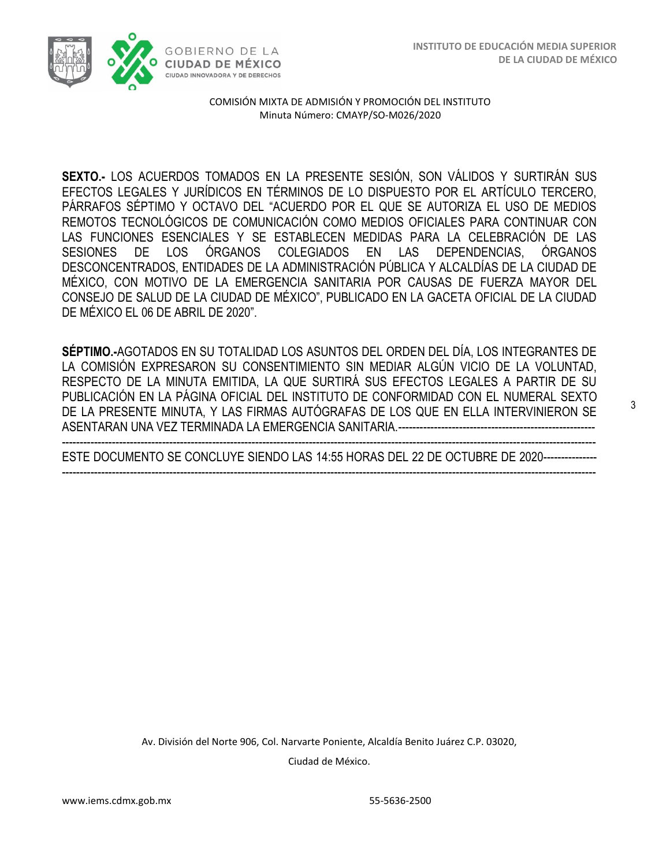

**SEXTO.-** LOS ACUERDOS TOMADOS EN LA PRESENTE SESIÓN, SON VÁLIDOS Y SURTIRÁN SUS EFECTOS LEGALES Y JURÍDICOS EN TÉRMINOS DE LO DISPUESTO POR EL ARTÍCULO TERCERO, PÁRRAFOS SÉPTIMO Y OCTAVO DEL "ACUERDO POR EL QUE SE AUTORIZA EL USO DE MEDIOS REMOTOS TECNOLÓGICOS DE COMUNICACIÓN COMO MEDIOS OFICIALES PARA CONTINUAR CON LAS FUNCIONES ESENCIALES Y SE ESTABLECEN MEDIDAS PARA LA CELEBRACIÓN DE LAS SESIONES DE LOS ÓRGANOS COLEGIADOS EN LAS DEPENDENCIAS, ÓRGANOS DESCONCENTRADOS, ENTIDADES DE LA ADMINISTRACIÓN PÚBLICA Y ALCALDÍAS DE LA CIUDAD DE MÉXICO, CON MOTIVO DE LA EMERGENCIA SANITARIA POR CAUSAS DE FUERZA MAYOR DEL CONSEJO DE SALUD DE LA CIUDAD DE MÉXICO", PUBLICADO EN LA GACETA OFICIAL DE LA CIUDAD DE MÉXICO EL 06 DE ABRIL DE 2020".

**SÉPTIMO.-**AGOTADOS EN SU TOTALIDAD LOS ASUNTOS DEL ORDEN DEL DÍA, LOS INTEGRANTES DE LA COMISIÓN EXPRESARON SU CONSENTIMIENTO SIN MEDIAR ALGÚN VICIO DE LA VOLUNTAD, RESPECTO DE LA MINUTA EMITIDA, LA QUE SURTIRÁ SUS EFECTOS LEGALES A PARTIR DE SU PUBLICACIÓN EN LA PÁGINA OFICIAL DEL INSTITUTO DE CONFORMIDAD CON EL NUMERAL SEXTO DE LA PRESENTE MINUTA, Y LAS FIRMAS AUTÓGRAFAS DE LOS QUE EN ELLA INTERVINIERON SE ASENTARAN UNA VEZ TERMINADA LA EMERGENCIA SANITARIA.-------------------------------------------------------

----------------------------------------------------------------------------------------------------------------------------------------------------- ESTE DOCUMENTO SE CONCLUYE SIENDO LAS 14:55 HORAS DEL 22 DE OCTUBRE DE 2020--------------- -----------------------------------------------------------------------------------------------------------------------------------------------------

> Av. División del Norte 906, Col. Narvarte Poniente, Alcaldía Benito Juárez C.P. 03020, Ciudad de México.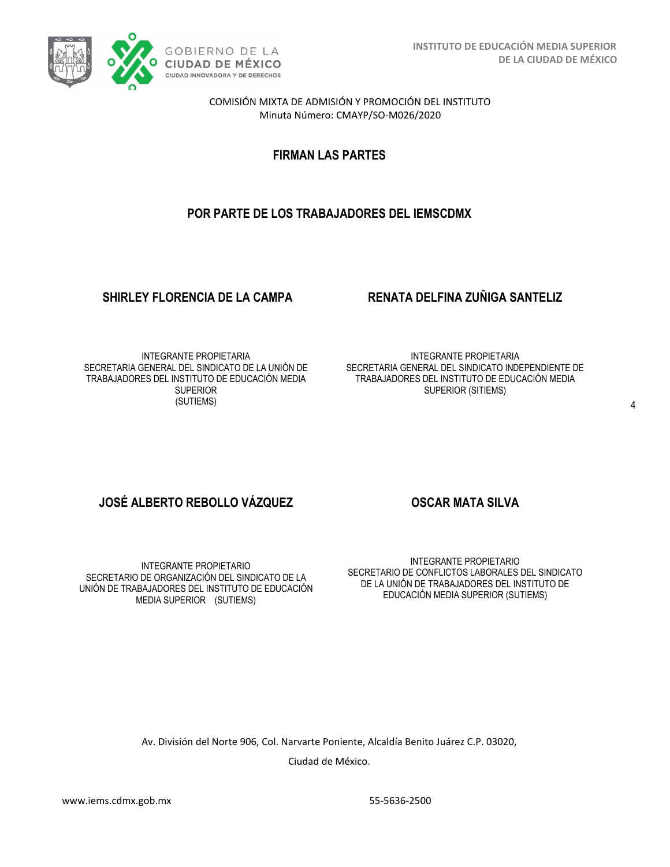

**FIRMAN LAS PARTES**

# **POR PARTE DE LOS TRABAJADORES DEL IEMSCDMX**

### **SHIRLEY FLORENCIA DE LA CAMPA RENATA DELFINA ZUÑIGA SANTELIZ**

INTEGRANTE PROPIETARIA SECRETARIA GENERAL DEL SINDICATO DE LA UNIÓN DE TRABAJADORES DEL INSTITUTO DE EDUCACIÓN MEDIA **SUPERIOR** (SUTIEMS)

INTEGRANTE PROPIETARIA SECRETARIA GENERAL DEL SINDICATO INDEPENDIENTE DE TRABAJADORES DEL INSTITUTO DE EDUCACIÓN MEDIA SUPERIOR (SITIEMS)

# **JOSÉ ALBERTO REBOLLO VÁZQUEZ OSCAR MATA SILVA**

INTEGRANTE PROPIETARIO SECRETARIO DE ORGANIZACIÓN DEL SINDICATO DE LA UNIÓN DE TRABAJADORES DEL INSTITUTO DE EDUCACIÓN MEDIA SUPERIOR (SUTIEMS)

INTEGRANTE PROPIETARIO SECRETARIO DE CONFLICTOS LABORALES DEL SINDICATO DE LA UNIÓN DE TRABAJADORES DEL INSTITUTO DE EDUCACIÓN MEDIA SUPERIOR (SUTIEMS)

Av. División del Norte 906, Col. Narvarte Poniente, Alcaldía Benito Juárez C.P. 03020,

Ciudad de México.